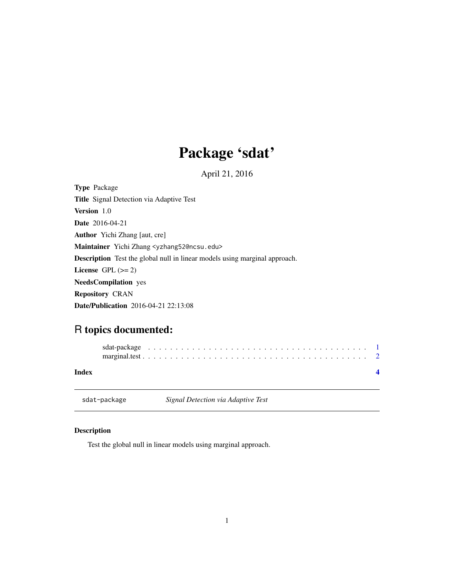## Package 'sdat'

April 21, 2016

<span id="page-0-0"></span>Type Package Title Signal Detection via Adaptive Test Version 1.0 Date 2016-04-21 Author Yichi Zhang [aut, cre] Maintainer Yichi Zhang <yzhang52@ncsu.edu> Description Test the global null in linear models using marginal approach. License GPL  $(>= 2)$ NeedsCompilation yes Repository CRAN Date/Publication 2016-04-21 22:13:08

### R topics documented:

| sdat-package | Signal Detection via Adaptive Test |  |
|--------------|------------------------------------|--|
| <b>Index</b> |                                    |  |
|              |                                    |  |

#### Description

Test the global null in linear models using marginal approach.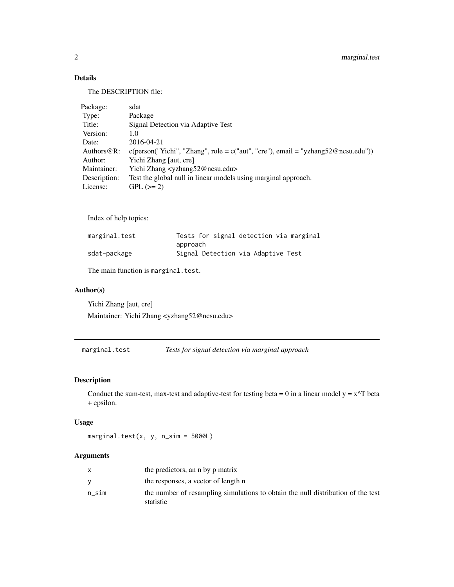#### Details

The DESCRIPTION file:

| Package:       | sdat                                                                                     |
|----------------|------------------------------------------------------------------------------------------|
| Type:          | Package                                                                                  |
| Title:         | Signal Detection via Adaptive Test                                                       |
| Version:       | 1.0                                                                                      |
| Date:          | 2016-04-21                                                                               |
| Authors $@R$ : | $c(\text{person("Yichi", "Zhang", role = c("aut", "cre"), email = "yzhang52@ncsu.edu"))$ |
| Author:        | Yichi Zhang [aut, cre]                                                                   |
| Maintainer:    | Yichi Zhang <yzhang52@ncsu.edu></yzhang52@ncsu.edu>                                      |
| Description:   | Test the global null in linear models using marginal approach.                           |
| License:       | $GPL (=2)$                                                                               |

Index of help topics:

| marginal.test | Tests for signal detection via marginal |
|---------------|-----------------------------------------|
|               | approach                                |
| sdat-package  | Signal Detection via Adaptive Test      |

The main function is marginal.test.

#### Author(s)

Yichi Zhang [aut, cre] Maintainer: Yichi Zhang <yzhang52@ncsu.edu>

marginal.test *Tests for signal detection via marginal approach*

#### Description

Conduct the sum-test, max-test and adaptive-test for testing beta = 0 in a linear model  $y = x^T$  beta + epsilon.

#### Usage

marginal.test(x, y, n\_sim = 5000L)

#### Arguments

|       | the predictors, an n by p matrix                                                 |
|-------|----------------------------------------------------------------------------------|
|       | the responses, a vector of length n                                              |
| n sim | the number of resampling simulations to obtain the null distribution of the test |
|       | statistic                                                                        |

<span id="page-1-0"></span>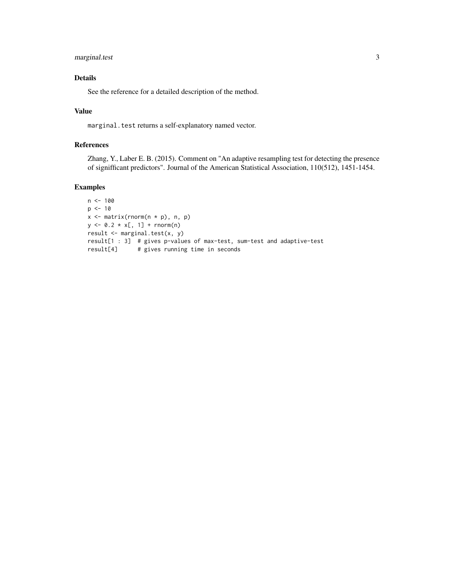#### marginal.test 3

#### Details

See the reference for a detailed description of the method.

#### Value

marginal.test returns a self-explanatory named vector.

#### References

Zhang, Y., Laber E. B. (2015). Comment on "An adaptive resampling test for detecting the presence of signifficant predictors". Journal of the American Statistical Association, 110(512), 1451-1454.

#### Examples

```
n < - 100p \le -10x \le matrix(rnorm(n * p), n, p)
y \le 0.2 \times x[, 1] + \text{rnorm}(n)result <- marginal.test(x, y)
result[1 : 3] # gives p-values of max-test, sum-test and adaptive-test
result[4] # gives running time in seconds
```